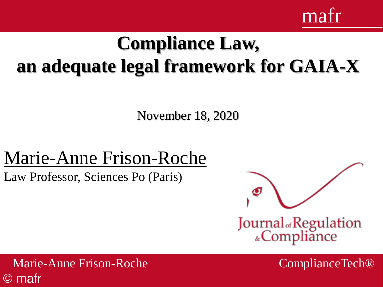

# **Compliance Law, an adequate legal framework for GAIA-X**

November 18, 2020

### Marie-Anne Frison-Roche

Law Professor, Sciences Po (Paris)



Marie-Anne Frison-Roche ComplianceTech® © mafr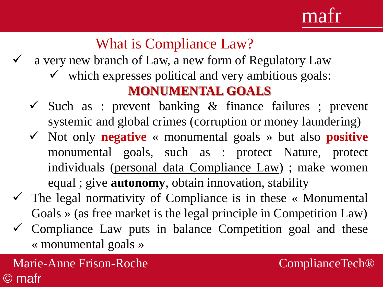### What is Compliance Law?

- a very new branch of Law, a new form of Regulatory Law
	- $\checkmark$  which expresses political and very ambitious goals: **MONUMENTAL GOALS**
	- $\checkmark$  Such as : prevent banking & finance failures ; prevent systemic and global crimes (corruption or money laundering)
	- ✓ Not only **negative** « monumental goals » but also **positive** monumental goals, such as : protect Nature, protect individuals (personal data Compliance Law) ; make women equal ; give **autonomy**, obtain innovation, stability
- $\checkmark$  The legal normativity of Compliance is in these « Monumental Goals » (as free market is the legal principle in Competition Law)
- $\checkmark$  Compliance Law puts in balance Competition goal and these « monumental goals »

#### Marie-Anne Frison-Roche © mafr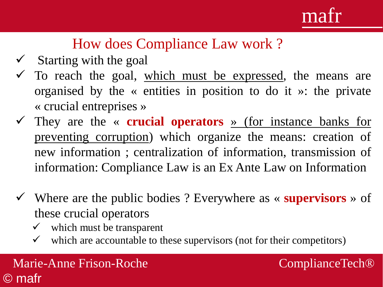## mat

### How does Compliance Law work ?

- $\checkmark$  Starting with the goal
- $\checkmark$  To reach the goal, which must be expressed, the means are organised by the « entities in position to do it »: the private « crucial entreprises »
- ✓ They are the « **crucial operators** » (for instance banks for preventing corruption) which organize the means: creation of new information ; centralization of information, transmission of information: Compliance Law is an Ex Ante Law on Information
- ✓ Where are the public bodies ? Everywhere as « **supervisors** » of these crucial operators
	- $\checkmark$  which must be transparent
	- $\checkmark$  which are accountable to these supervisors (not for their competitors)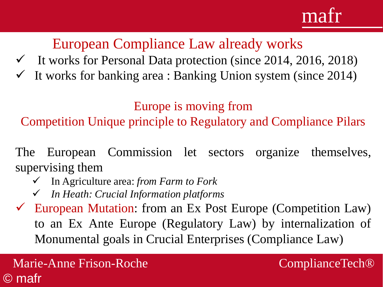# mat

European Compliance Law already works

- $\checkmark$  It works for Personal Data protection (since 2014, 2016, 2018)
- $\checkmark$  It works for banking area : Banking Union system (since 2014)

Europe is moving from

Competition Unique principle to Regulatory and Compliance Pilars

The European Commission let sectors organize themselves, supervising them

- ✓ In Agriculture area: *from Farm to Fork*
- ✓ *In Heath: Crucial Information platforms*
- $\checkmark$  European Mutation: from an Ex Post Europe (Competition Law) to an Ex Ante Europe (Regulatory Law) by internalization of Monumental goals in Crucial Enterprises (Compliance Law)

Marie-Anne Frison-Roche © mafr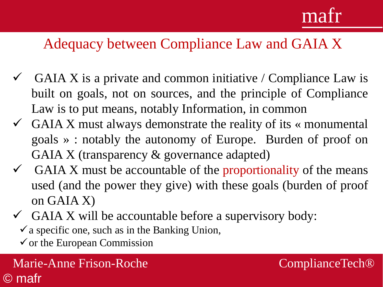# mafr

### Adequacy between Compliance Law and GAIA X

- GAIA X is a private and common initiative / Compliance Law is built on goals, not on sources, and the principle of Compliance Law is to put means, notably Information, in common
- $\checkmark$  GAIA X must always demonstrate the reality of its « monumental goals » : notably the autonomy of Europe. Burden of proof on GAIA X (transparency & governance adapted)
- $\checkmark$  GAIA X must be accountable of the proportionality of the means used (and the power they give) with these goals (burden of proof on GAIA X)
- $\checkmark$  GAIA X will be accountable before a supervisory body:
	- $\checkmark$  a specific one, such as in the Banking Union,
	- $\checkmark$  or the European Commission

Marie-Anne Frison-Roche ComplianceTech® © mafr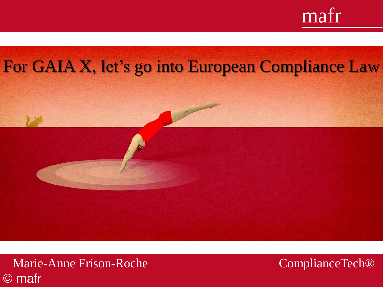

#### For GAIA X, let's go into European Compliance Law rk en réaction » en réaction » en réaction » en réaction ».<br>En réaction »



ure de la passée de la passée de la passée de la passée de la passée de la passée de la passée de la passée de<br>Décembre le passée de la passée de la passée de la passée de la passée de la passée de la passée de la passée

✓ Avoir une idée claire et nette des buts

✓ Plonger sans hésiter dans le sujet

✓ Ne pas confondre les buts et les moyens

✓ Avoir la « prétention » d'atteindre le « but »

**∪ Ce que il faut faut faut faut faut fau** 

ComplianceTech<sup>®</sup>